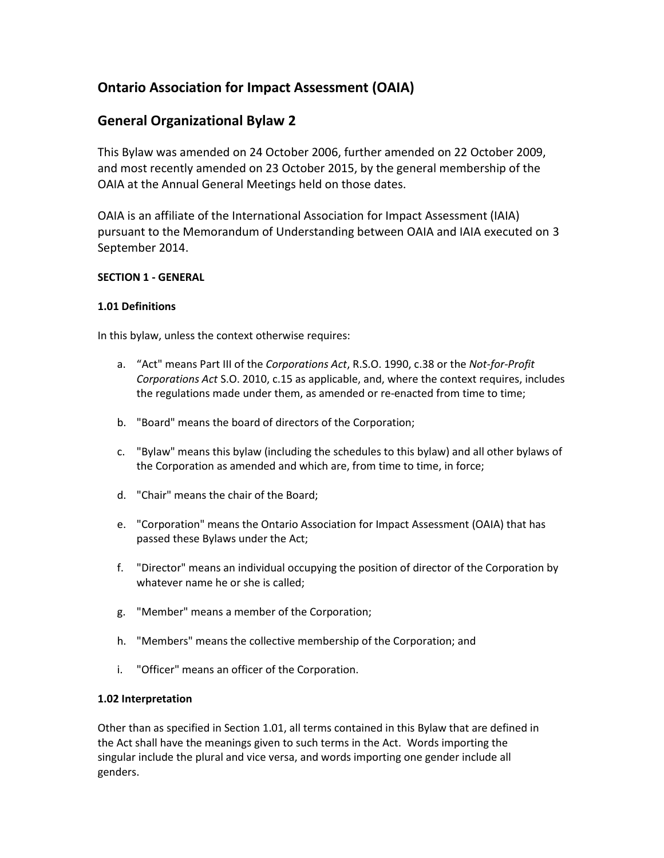# **Ontario Association for Impact Assessment (OAIA)**

# **General Organizational Bylaw 2**

This Bylaw was amended on 24 October 2006, further amended on 22 October 2009, and most recently amended on 23 October 2015, by the general membership of the OAIA at the Annual General Meetings held on those dates.

OAIA is an affiliate of the International Association for Impact Assessment (IAIA) pursuant to the Memorandum of Understanding between OAIA and IAIA executed on 3 September 2014.

## **SECTION 1 - GENERAL**

## **1.01 Definitions**

In this bylaw, unless the context otherwise requires:

- a. "Act" means Part III of the *Corporations Act*, R.S.O. 1990, c.38 or the *Not-for-Profit Corporations Act* S.O. 2010, c.15 as applicable, and, where the context requires, includes the regulations made under them, as amended or re-enacted from time to time;
- b. "Board" means the board of directors of the Corporation;
- c. "Bylaw" means this bylaw (including the schedules to this bylaw) and all other bylaws of the Corporation as amended and which are, from time to time, in force;
- d. "Chair" means the chair of the Board;
- e. "Corporation" means the Ontario Association for Impact Assessment (OAIA) that has passed these Bylaws under the Act;
- f. "Director" means an individual occupying the position of director of the Corporation by whatever name he or she is called;
- g. "Member" means a member of the Corporation;
- h. "Members" means the collective membership of the Corporation; and
- i. "Officer" means an officer of the Corporation.

## **1.02 Interpretation**

Other than as specified in Section 1.01, all terms contained in this Bylaw that are defined in the Act shall have the meanings given to such terms in the Act. Words importing the singular include the plural and vice versa, and words importing one gender include all genders.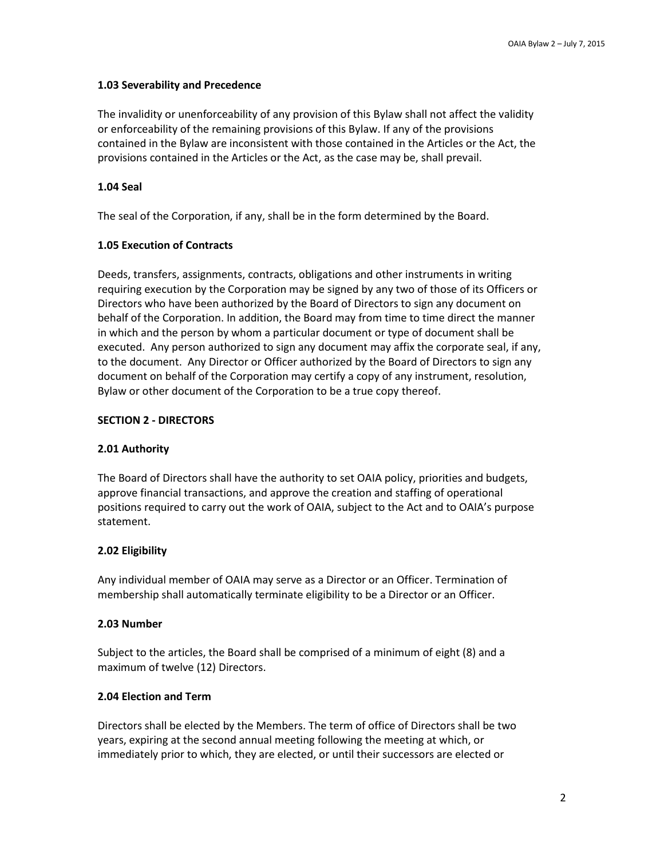## **1.03 Severability and Precedence**

The invalidity or unenforceability of any provision of this Bylaw shall not affect the validity or enforceability of the remaining provisions of this Bylaw. If any of the provisions contained in the Bylaw are inconsistent with those contained in the Articles or the Act, the provisions contained in the Articles or the Act, as the case may be, shall prevail.

## **1.04 Seal**

The seal of the Corporation, if any, shall be in the form determined by the Board.

## **1.05 Execution of Contracts**

Deeds, transfers, assignments, contracts, obligations and other instruments in writing requiring execution by the Corporation may be signed by any two of those of its Officers or Directors who have been authorized by the Board of Directors to sign any document on behalf of the Corporation. In addition, the Board may from time to time direct the manner in which and the person by whom a particular document or type of document shall be executed. Any person authorized to sign any document may affix the corporate seal, if any, to the document. Any Director or Officer authorized by the Board of Directors to sign any document on behalf of the Corporation may certify a copy of any instrument, resolution, Bylaw or other document of the Corporation to be a true copy thereof.

## **SECTION 2 - DIRECTORS**

## **2.01 Authority**

The Board of Directors shall have the authority to set OAIA policy, priorities and budgets, approve financial transactions, and approve the creation and staffing of operational positions required to carry out the work of OAIA, subject to the Act and to OAIA's purpose statement.

## **2.02 Eligibility**

Any individual member of OAIA may serve as a Director or an Officer. Termination of membership shall automatically terminate eligibility to be a Director or an Officer.

## **2.03 Number**

Subject to the articles, the Board shall be comprised of a minimum of eight (8) and a maximum of twelve (12) Directors.

## **2.04 Election and Term**

Directors shall be elected by the Members. The term of office of Directors shall be two years, expiring at the second annual meeting following the meeting at which, or immediately prior to which, they are elected, or until their successors are elected or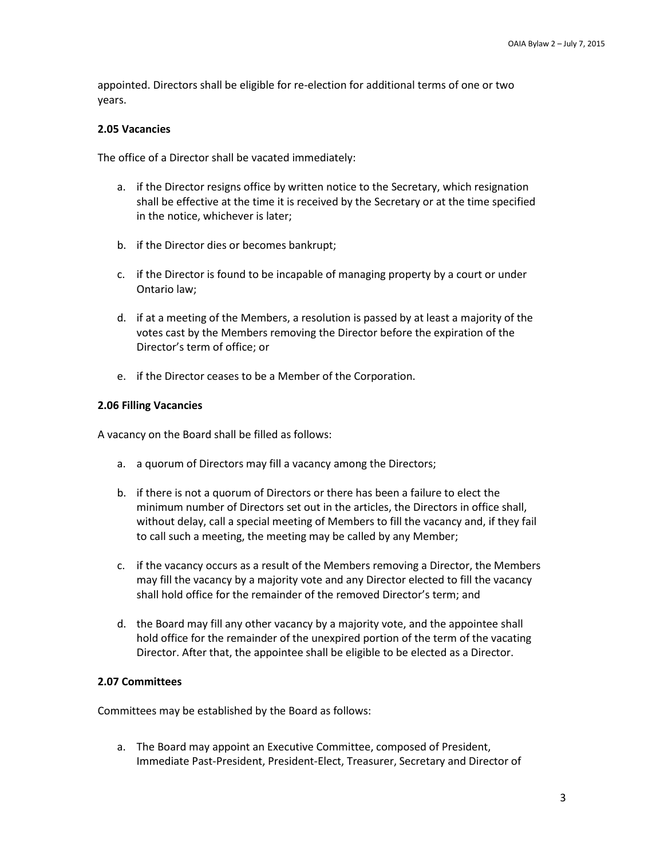appointed. Directors shall be eligible for re-election for additional terms of one or two years.

#### **2.05 Vacancies**

The office of a Director shall be vacated immediately:

- a. if the Director resigns office by written notice to the Secretary, which resignation shall be effective at the time it is received by the Secretary or at the time specified in the notice, whichever is later;
- b. if the Director dies or becomes bankrupt;
- c. if the Director is found to be incapable of managing property by a court or under Ontario law;
- d. if at a meeting of the Members, a resolution is passed by at least a majority of the votes cast by the Members removing the Director before the expiration of the Director's term of office; or
- e. if the Director ceases to be a Member of the Corporation.

#### **2.06 Filling Vacancies**

A vacancy on the Board shall be filled as follows:

- a. a quorum of Directors may fill a vacancy among the Directors;
- b. if there is not a quorum of Directors or there has been a failure to elect the minimum number of Directors set out in the articles, the Directors in office shall, without delay, call a special meeting of Members to fill the vacancy and, if they fail to call such a meeting, the meeting may be called by any Member;
- c. if the vacancy occurs as a result of the Members removing a Director, the Members may fill the vacancy by a majority vote and any Director elected to fill the vacancy shall hold office for the remainder of the removed Director's term; and
- d. the Board may fill any other vacancy by a majority vote, and the appointee shall hold office for the remainder of the unexpired portion of the term of the vacating Director. After that, the appointee shall be eligible to be elected as a Director.

### **2.07 Committees**

Committees may be established by the Board as follows:

a. The Board may appoint an Executive Committee, composed of President, Immediate Past-President, President-Elect, Treasurer, Secretary and Director of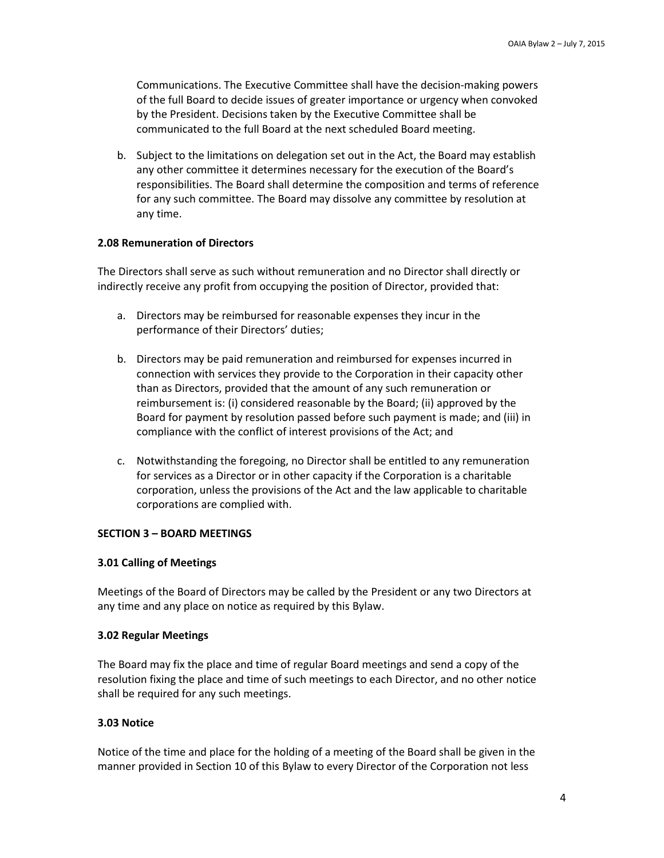Communications. The Executive Committee shall have the decision-making powers of the full Board to decide issues of greater importance or urgency when convoked by the President. Decisions taken by the Executive Committee shall be communicated to the full Board at the next scheduled Board meeting.

b. Subject to the limitations on delegation set out in the Act, the Board may establish any other committee it determines necessary for the execution of the Board's responsibilities. The Board shall determine the composition and terms of reference for any such committee. The Board may dissolve any committee by resolution at any time.

### **2.08 Remuneration of Directors**

The Directors shall serve as such without remuneration and no Director shall directly or indirectly receive any profit from occupying the position of Director, provided that:

- a. Directors may be reimbursed for reasonable expenses they incur in the performance of their Directors' duties;
- b. Directors may be paid remuneration and reimbursed for expenses incurred in connection with services they provide to the Corporation in their capacity other than as Directors, provided that the amount of any such remuneration or reimbursement is: (i) considered reasonable by the Board; (ii) approved by the Board for payment by resolution passed before such payment is made; and (iii) in compliance with the conflict of interest provisions of the Act; and
- c. Notwithstanding the foregoing, no Director shall be entitled to any remuneration for services as a Director or in other capacity if the Corporation is a charitable corporation, unless the provisions of the Act and the law applicable to charitable corporations are complied with.

### **SECTION 3 – BOARD MEETINGS**

### **3.01 Calling of Meetings**

Meetings of the Board of Directors may be called by the President or any two Directors at any time and any place on notice as required by this Bylaw.

### **3.02 Regular Meetings**

The Board may fix the place and time of regular Board meetings and send a copy of the resolution fixing the place and time of such meetings to each Director, and no other notice shall be required for any such meetings.

### **3.03 Notice**

Notice of the time and place for the holding of a meeting of the Board shall be given in the manner provided in Section 10 of this Bylaw to every Director of the Corporation not less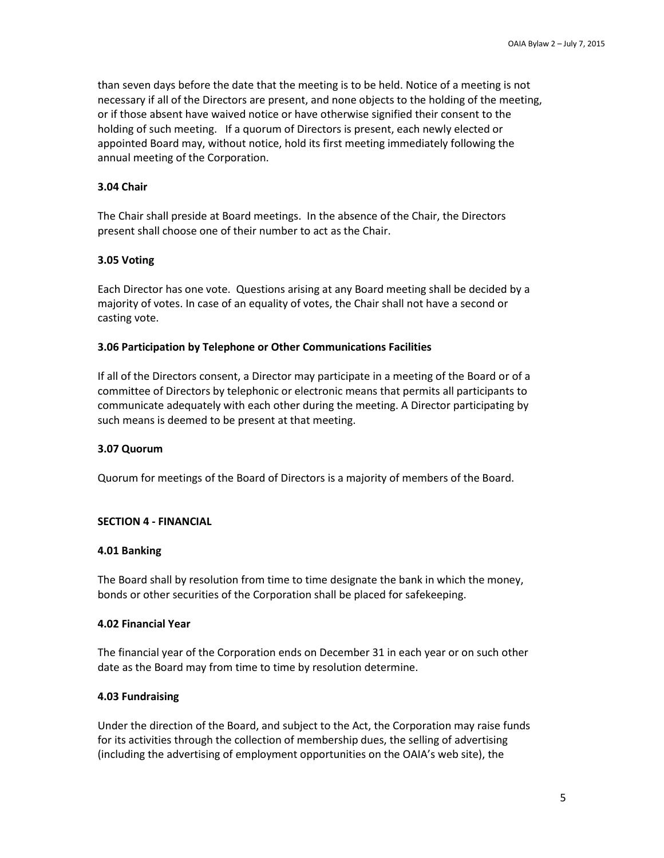than seven days before the date that the meeting is to be held. Notice of a meeting is not necessary if all of the Directors are present, and none objects to the holding of the meeting, or if those absent have waived notice or have otherwise signified their consent to the holding of such meeting. If a quorum of Directors is present, each newly elected or appointed Board may, without notice, hold its first meeting immediately following the annual meeting of the Corporation.

### **3.04 Chair**

The Chair shall preside at Board meetings. In the absence of the Chair, the Directors present shall choose one of their number to act as the Chair.

#### **3.05 Voting**

Each Director has one vote. Questions arising at any Board meeting shall be decided by a majority of votes. In case of an equality of votes, the Chair shall not have a second or casting vote.

#### **3.06 Participation by Telephone or Other Communications Facilities**

If all of the Directors consent, a Director may participate in a meeting of the Board or of a committee of Directors by telephonic or electronic means that permits all participants to communicate adequately with each other during the meeting. A Director participating by such means is deemed to be present at that meeting.

#### **3.07 Quorum**

Quorum for meetings of the Board of Directors is a majority of members of the Board.

#### **SECTION 4 - FINANCIAL**

#### **4.01 Banking**

The Board shall by resolution from time to time designate the bank in which the money, bonds or other securities of the Corporation shall be placed for safekeeping.

#### **4.02 Financial Year**

The financial year of the Corporation ends on December 31 in each year or on such other date as the Board may from time to time by resolution determine.

#### **4.03 Fundraising**

Under the direction of the Board, and subject to the Act, the Corporation may raise funds for its activities through the collection of membership dues, the selling of advertising (including the advertising of employment opportunities on the OAIA's web site), the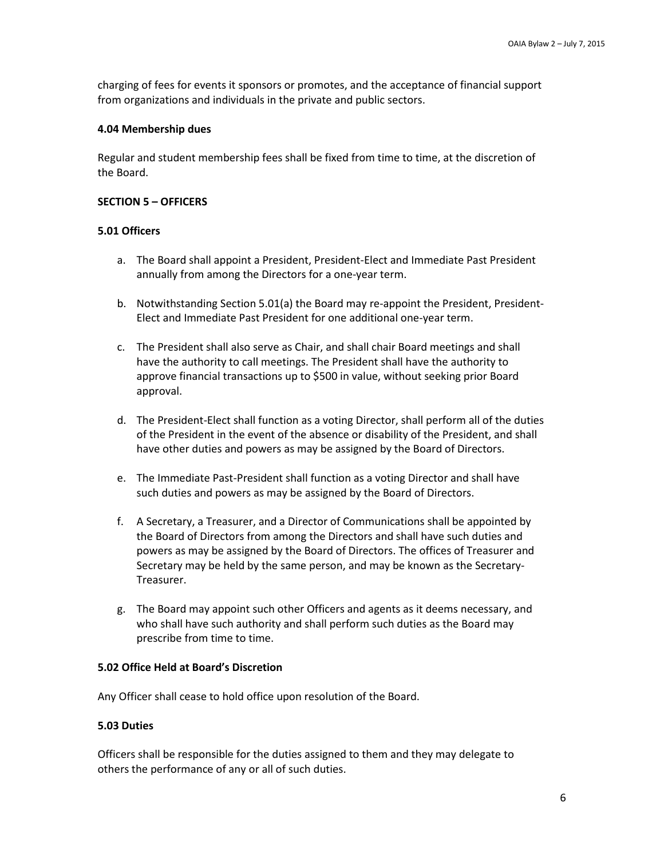charging of fees for events it sponsors or promotes, and the acceptance of financial support from organizations and individuals in the private and public sectors.

#### **4.04 Membership dues**

Regular and student membership fees shall be fixed from time to time, at the discretion of the Board.

#### **SECTION 5 – OFFICERS**

#### **5.01 Officers**

- a. The Board shall appoint a President, President-Elect and Immediate Past President annually from among the Directors for a one-year term.
- b. Notwithstanding Section 5.01(a) the Board may re-appoint the President, President-Elect and Immediate Past President for one additional one-year term.
- c. The President shall also serve as Chair, and shall chair Board meetings and shall have the authority to call meetings. The President shall have the authority to approve financial transactions up to \$500 in value, without seeking prior Board approval.
- d. The President-Elect shall function as a voting Director, shall perform all of the duties of the President in the event of the absence or disability of the President, and shall have other duties and powers as may be assigned by the Board of Directors.
- e. The Immediate Past-President shall function as a voting Director and shall have such duties and powers as may be assigned by the Board of Directors.
- f. A Secretary, a Treasurer, and a Director of Communications shall be appointed by the Board of Directors from among the Directors and shall have such duties and powers as may be assigned by the Board of Directors. The offices of Treasurer and Secretary may be held by the same person, and may be known as the Secretary-Treasurer.
- g. The Board may appoint such other Officers and agents as it deems necessary, and who shall have such authority and shall perform such duties as the Board may prescribe from time to time.

### **5.02 Office Held at Board's Discretion**

Any Officer shall cease to hold office upon resolution of the Board.

### **5.03 Duties**

Officers shall be responsible for the duties assigned to them and they may delegate to others the performance of any or all of such duties.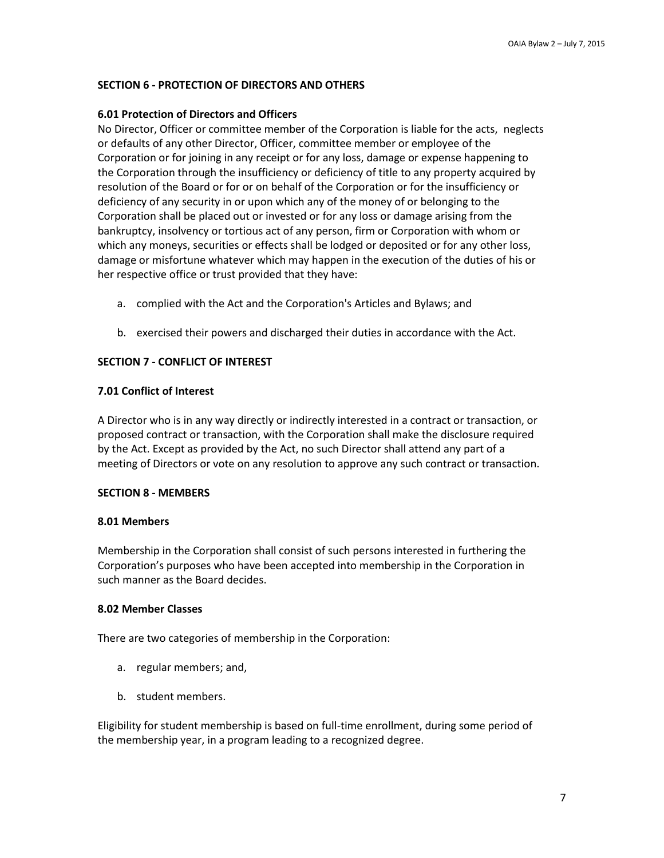## **SECTION 6 - PROTECTION OF DIRECTORS AND OTHERS**

## **6.01 Protection of Directors and Officers**

No Director, Officer or committee member of the Corporation is liable for the acts, neglects or defaults of any other Director, Officer, committee member or employee of the Corporation or for joining in any receipt or for any loss, damage or expense happening to the Corporation through the insufficiency or deficiency of title to any property acquired by resolution of the Board or for or on behalf of the Corporation or for the insufficiency or deficiency of any security in or upon which any of the money of or belonging to the Corporation shall be placed out or invested or for any loss or damage arising from the bankruptcy, insolvency or tortious act of any person, firm or Corporation with whom or which any moneys, securities or effects shall be lodged or deposited or for any other loss, damage or misfortune whatever which may happen in the execution of the duties of his or her respective office or trust provided that they have:

- a. complied with the Act and the Corporation's Articles and Bylaws; and
- b. exercised their powers and discharged their duties in accordance with the Act.

### **SECTION 7 - CONFLICT OF INTEREST**

### **7.01 Conflict of Interest**

A Director who is in any way directly or indirectly interested in a contract or transaction, or proposed contract or transaction, with the Corporation shall make the disclosure required by the Act. Except as provided by the Act, no such Director shall attend any part of a meeting of Directors or vote on any resolution to approve any such contract or transaction.

### **SECTION 8 - MEMBERS**

### **8.01 Members**

Membership in the Corporation shall consist of such persons interested in furthering the Corporation's purposes who have been accepted into membership in the Corporation in such manner as the Board decides.

### **8.02 Member Classes**

There are two categories of membership in the Corporation:

- a. regular members; and,
- b. student members.

Eligibility for student membership is based on full-time enrollment, during some period of the membership year, in a program leading to a recognized degree.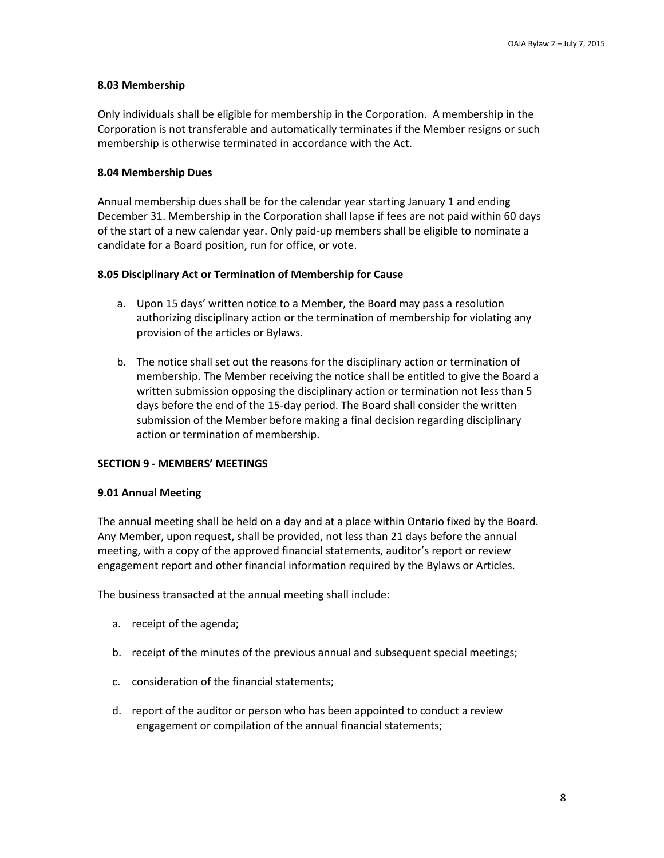## **8.03 Membership**

Only individuals shall be eligible for membership in the Corporation. A membership in the Corporation is not transferable and automatically terminates if the Member resigns or such membership is otherwise terminated in accordance with the Act.

## **8.04 Membership Dues**

Annual membership dues shall be for the calendar year starting January 1 and ending December 31. Membership in the Corporation shall lapse if fees are not paid within 60 days of the start of a new calendar year. Only paid-up members shall be eligible to nominate a candidate for a Board position, run for office, or vote.

## **8.05 Disciplinary Act or Termination of Membership for Cause**

- a. Upon 15 days' written notice to a Member, the Board may pass a resolution authorizing disciplinary action or the termination of membership for violating any provision of the articles or Bylaws.
- b. The notice shall set out the reasons for the disciplinary action or termination of membership. The Member receiving the notice shall be entitled to give the Board a written submission opposing the disciplinary action or termination not less than 5 days before the end of the 15-day period. The Board shall consider the written submission of the Member before making a final decision regarding disciplinary action or termination of membership.

## **SECTION 9 - MEMBERS' MEETINGS**

## **9.01 Annual Meeting**

The annual meeting shall be held on a day and at a place within Ontario fixed by the Board. Any Member, upon request, shall be provided, not less than 21 days before the annual meeting, with a copy of the approved financial statements, auditor's report or review engagement report and other financial information required by the Bylaws or Articles.

The business transacted at the annual meeting shall include:

- a. receipt of the agenda;
- b. receipt of the minutes of the previous annual and subsequent special meetings;
- c. consideration of the financial statements;
- d. report of the auditor or person who has been appointed to conduct a review engagement or compilation of the annual financial statements;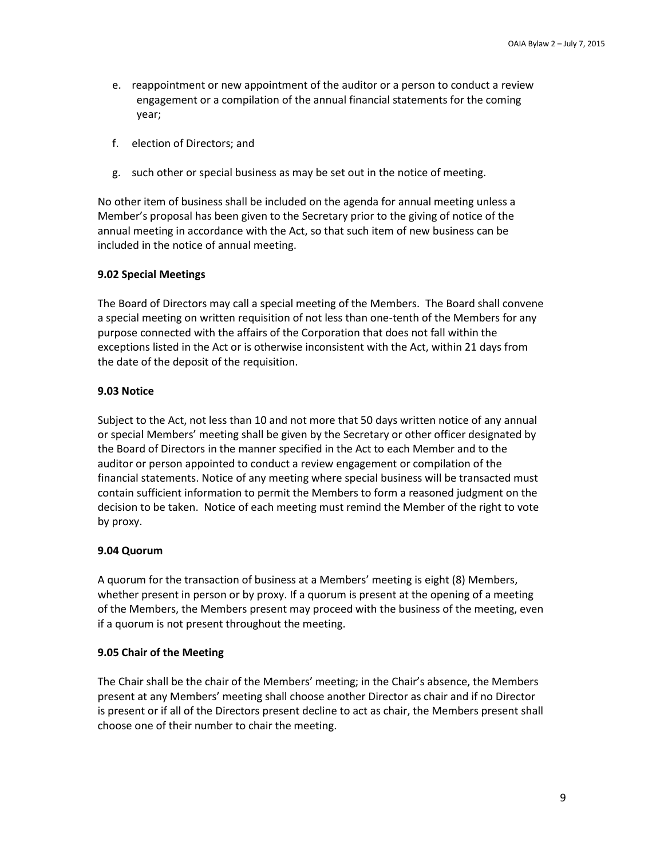- e. reappointment or new appointment of the auditor or a person to conduct a review engagement or a compilation of the annual financial statements for the coming year;
- f. election of Directors; and
- g. such other or special business as may be set out in the notice of meeting.

No other item of business shall be included on the agenda for annual meeting unless a Member's proposal has been given to the Secretary prior to the giving of notice of the annual meeting in accordance with the Act, so that such item of new business can be included in the notice of annual meeting.

## **9.02 Special Meetings**

The Board of Directors may call a special meeting of the Members. The Board shall convene a special meeting on written requisition of not less than one-tenth of the Members for any purpose connected with the affairs of the Corporation that does not fall within the exceptions listed in the Act or is otherwise inconsistent with the Act, within 21 days from the date of the deposit of the requisition.

## **9.03 Notice**

Subject to the Act, not less than 10 and not more that 50 days written notice of any annual or special Members' meeting shall be given by the Secretary or other officer designated by the Board of Directors in the manner specified in the Act to each Member and to the auditor or person appointed to conduct a review engagement or compilation of the financial statements. Notice of any meeting where special business will be transacted must contain sufficient information to permit the Members to form a reasoned judgment on the decision to be taken. Notice of each meeting must remind the Member of the right to vote by proxy.

## **9.04 Quorum**

A quorum for the transaction of business at a Members' meeting is eight (8) Members, whether present in person or by proxy. If a quorum is present at the opening of a meeting of the Members, the Members present may proceed with the business of the meeting, even if a quorum is not present throughout the meeting.

## **9.05 Chair of the Meeting**

The Chair shall be the chair of the Members' meeting; in the Chair's absence, the Members present at any Members' meeting shall choose another Director as chair and if no Director is present or if all of the Directors present decline to act as chair, the Members present shall choose one of their number to chair the meeting.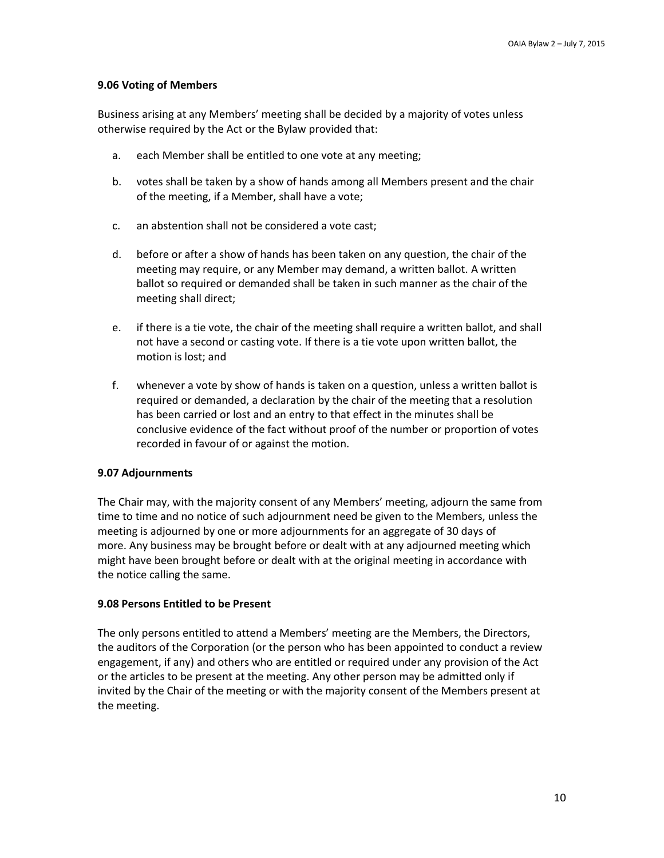### **9.06 Voting of Members**

Business arising at any Members' meeting shall be decided by a majority of votes unless otherwise required by the Act or the Bylaw provided that:

- a. each Member shall be entitled to one vote at any meeting;
- b. votes shall be taken by a show of hands among all Members present and the chair of the meeting, if a Member, shall have a vote;
- c. an abstention shall not be considered a vote cast;
- d. before or after a show of hands has been taken on any question, the chair of the meeting may require, or any Member may demand, a written ballot. A written ballot so required or demanded shall be taken in such manner as the chair of the meeting shall direct;
- e. if there is a tie vote, the chair of the meeting shall require a written ballot, and shall not have a second or casting vote. If there is a tie vote upon written ballot, the motion is lost; and
- f. whenever a vote by show of hands is taken on a question, unless a written ballot is required or demanded, a declaration by the chair of the meeting that a resolution has been carried or lost and an entry to that effect in the minutes shall be conclusive evidence of the fact without proof of the number or proportion of votes recorded in favour of or against the motion.

### **9.07 Adjournments**

The Chair may, with the majority consent of any Members' meeting, adjourn the same from time to time and no notice of such adjournment need be given to the Members, unless the meeting is adjourned by one or more adjournments for an aggregate of 30 days of more. Any business may be brought before or dealt with at any adjourned meeting which might have been brought before or dealt with at the original meeting in accordance with the notice calling the same.

### **9.08 Persons Entitled to be Present**

The only persons entitled to attend a Members' meeting are the Members, the Directors, the auditors of the Corporation (or the person who has been appointed to conduct a review engagement, if any) and others who are entitled or required under any provision of the Act or the articles to be present at the meeting. Any other person may be admitted only if invited by the Chair of the meeting or with the majority consent of the Members present at the meeting.